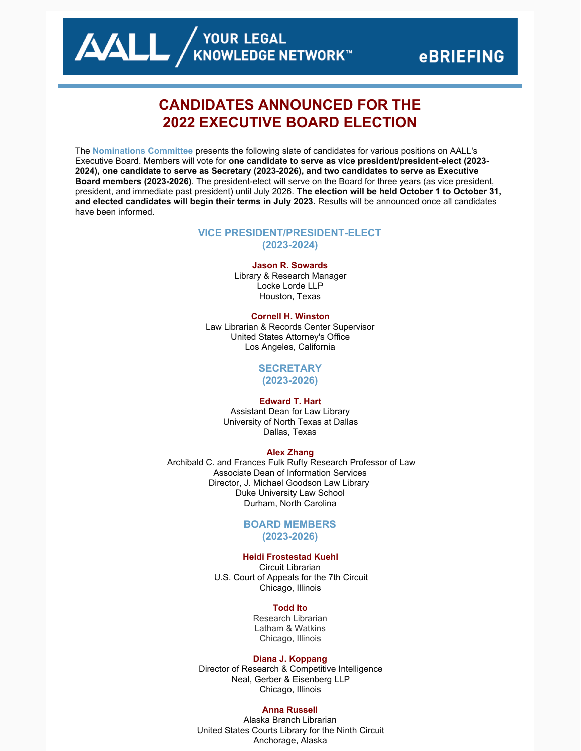# **CANDIDATES ANNOUNCED FOR THE 2022 EXECUTIVE BOARD ELECTION**

The **[Nominations](https://www.aallnet.org/about-us/who-we-are/committees-juries/nominations-committee/) Committee** presents the following slate of candidates for various positions on AALL's Executive Board. Members will vote for **one candidate to serve as vice president/president-elect (2023- 2024), one candidate to serve as Secretary (2023-2026), and two candidates to serve as Executive Board members (2023-2026)**. The president-elect will serve on the Board for three years (as vice president, president, and immediate past president) until July 2026. **The election will be held October 1 to October 31, and elected candidates will begin their terms in July 2023.** Results will be announced once all candidates have been informed.

# **VICE PRESIDENT/PRESIDENT-ELECT (2023-2024)**

## **Jason R. Sowards**

Library & Research Manager Locke Lorde LLP Houston, Texas

#### **Cornell H. Winston**

Law Librarian & Records Center Supervisor United States Attorney's Office Los Angeles, California

# **SECRETARY**

**(2023-2026)**

# **Edward T. Hart**

Assistant Dean for Law Library University of North Texas at Dallas Dallas, Texas

## **Alex Zhang**

Archibald C. and Frances Fulk Rufty Research Professor of Law Associate Dean of Information Services Director, J. Michael Goodson Law Library Duke University Law School Durham, North Carolina

## **BOARD MEMBERS (2023-2026)**

# **Heidi Frostestad Kuehl**

Circuit Librarian U.S. Court of Appeals for the 7th Circuit Chicago, Illinois

### **Todd Ito**

Research Librarian Latham & Watkins Chicago, Illinois

#### **Diana J. Koppang**

Director of Research & Competitive Intelligence Neal, Gerber & Eisenberg LLP Chicago, Illinois

### **Anna Russell**

Alaska Branch Librarian United States Courts Library for the Ninth Circuit Anchorage, Alaska